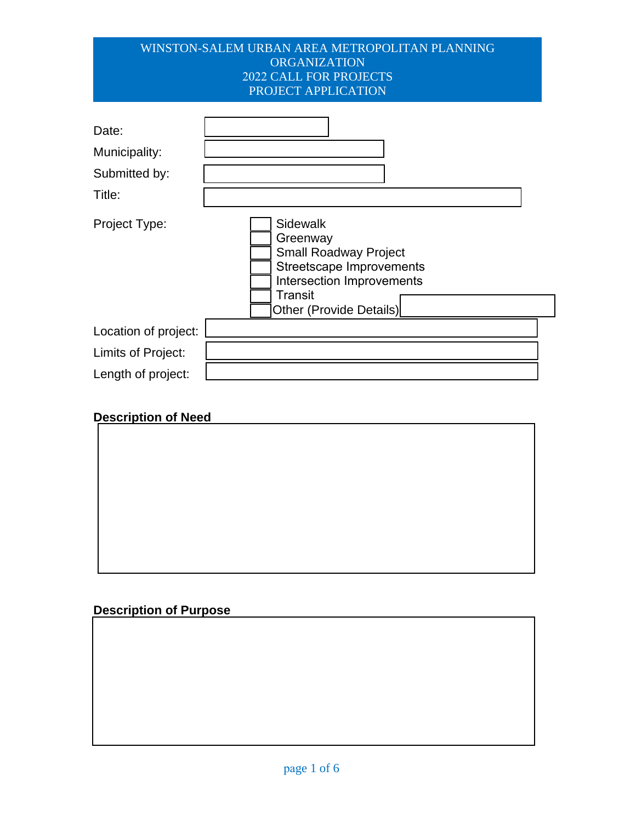#### WINSTON-SALEM URBAN AREA METROPOLITAN PLANNING **ORGANIZATION** 2022 CALL FOR PROJECTS PROJECT APPLICATION

| Date:<br>Municipality:<br>Submitted by:<br>Title: |                                                                                                                                                            |
|---------------------------------------------------|------------------------------------------------------------------------------------------------------------------------------------------------------------|
| Project Type:                                     | Sidewalk<br>Greenway<br><b>Small Roadway Project</b><br><b>Streetscape Improvements</b><br>Intersection Improvements<br>Transit<br>Other (Provide Details) |
| Location of project:                              |                                                                                                                                                            |
| Limits of Project:                                |                                                                                                                                                            |
| Length of project:                                |                                                                                                                                                            |

# **Description of Need**

# **Description of Purpose**

 $\_$  , and the set of the set of the set of the set of the set of the set of the set of the set of the set of the set of the set of the set of the set of the set of the set of the set of the set of the set of the set of th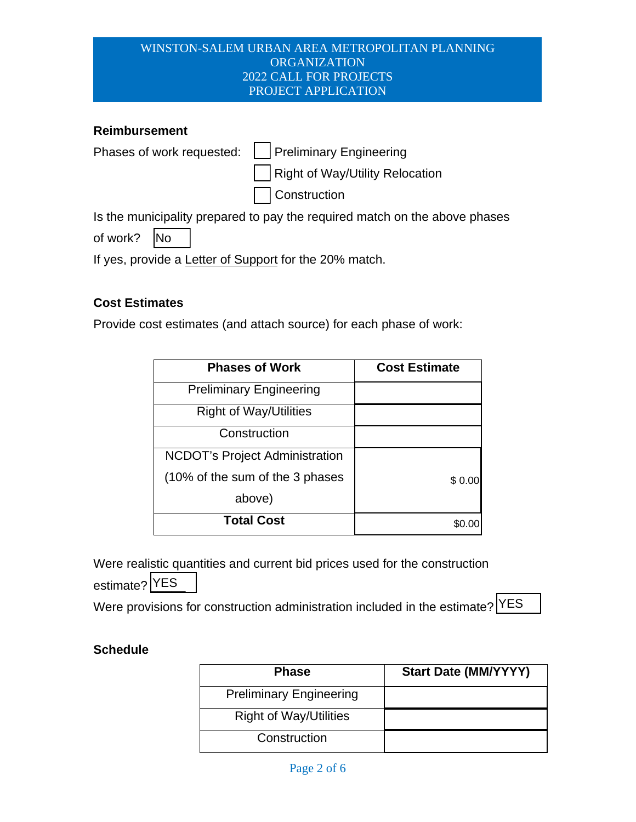#### WINSTON-SALEM URBAN AREA METROPOLITAN PLANNING ORGANIZATION 2022 CALL FOR PROJECTS PROJECT APPLICATION

#### **Reimbursement**

| Phases of work requested:   Preliminary Engineering                   |  |
|-----------------------------------------------------------------------|--|
| Right of Way/Utility Relocation                                       |  |
| Construction                                                          |  |
| Is the principle in proposed to pour the required posted on the obout |  |

Is the municipality prepared to pay the required match on the above phases

of work? No

If yes, provide a Letter of Support for the 20% match.

# **Cost Estimates**

Provide cost estimates (and attach source) for each phase of work:

| <b>Phases of Work</b>                 | <b>Cost Estimate</b> |  |  |
|---------------------------------------|----------------------|--|--|
| <b>Preliminary Engineering</b>        |                      |  |  |
| <b>Right of Way/Utilities</b>         |                      |  |  |
| Construction                          |                      |  |  |
| <b>NCDOT's Project Administration</b> |                      |  |  |
| (10% of the sum of the 3 phases       | \$0.00               |  |  |
| above)                                |                      |  |  |
| <b>Total Cost</b>                     |                      |  |  |

Were realistic quantities and current bid prices used for the construction estimate? YES

Were provisions for construction administration included in the estimate?  $\textrm{|YES}|$ 

#### **Schedule**

| <b>Phase</b>                   | <b>Start Date (MM/YYYY)</b> |
|--------------------------------|-----------------------------|
| <b>Preliminary Engineering</b> |                             |
| <b>Right of Way/Utilities</b>  |                             |
| Construction                   |                             |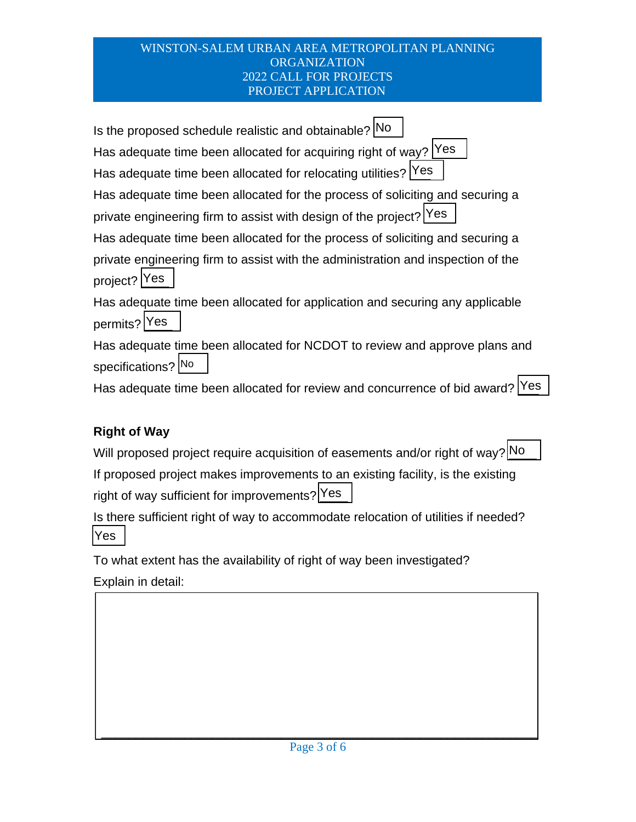#### WINSTON-SALEM URBAN AREA METROPOLITAN PLANNING **ORGANIZATION** 2022 CALL FOR PROJECTS PROJECT APPLICATION

Is the proposed schedule realistic and obtainable? No Has adequate time been allocated for acquiring right of way?  $Y$ es Has adequate time been allocated for relocating utilities? Yes Has adequate time been allocated for the process of soliciting and securing a Has adequate time been allocated for relocating utilities? [Yes ]<br>Has adequate time been allocated for the process of soliciting and<br>private engineering firm to assist with design of the project? [Yes Has adequate time been allocated for the process of soliciting and securing a private engineering firm to assist with the administration and inspection of the project? Yes Has adequate time been allocated for application and securing any applicable permits? Yes

Has adequate time been allocated for NCDOT to review and approve plans and specifications? No

Has adequate time been allocated for review and concurrence of bid award?  $\boxed{\text{Yes}}$ 

# **Right of Way**

Will proposed project require acquisition of easements and/or right of way?  $\rvert$ No

If proposed project makes improvements to an existing facility, is the existing right of way sufficient for improvements?  $Yes$ 

Is there sufficient right of way to accommodate relocation of utilities if needed? \_\_\_ Yes

To what extent has the availability of right of way been investigated?

Explain in detail: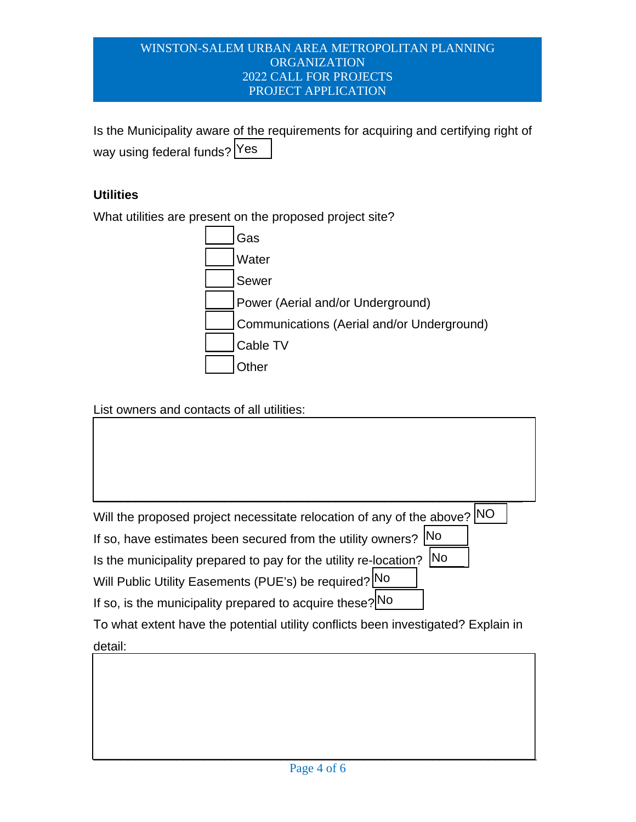#### WINSTON-SALEM URBAN AREA METROPOLITAN PLANNING ORGANIZATION 2022 CALL FOR PROJECTS PROJECT APPLICATION

Is the Municipality aware of the requirements for acquiring and certifying right of way using federal funds?  $\boxed{\text{Yes}}$ 

# **Utilities**

What utilities are present on the proposed project site?



# List owners and contacts of all utilities:

| Will the proposed project necessitate relocation of any of the above? NO |  |
|--------------------------------------------------------------------------|--|
|                                                                          |  |

 $\overline{\phantom{a}}$  , and the contract of the contract of the contract of the contract of the contract of the contract of the contract of the contract of the contract of the contract of the contract of the contract of the contrac

If so, have estimates been secured from the utility owners?  $\boxed{\text{No}}$ <br>Is the municipality prepared to pay for the utility re-location?  $\boxed{\text{No}}$ 

Is the municipality prepared to pay for the utility re-location?  $\boxed{\text{No}}$ 

Will Public Utility Easements (PUE's) be required?<sup>[No</sup><br>If so, is the municipality prepared to acquire these?<sup>[No</sup>

If so, is the municipality prepared to acquire these? No

To what extent have the potential utility conflicts been investigated? Explain in detail: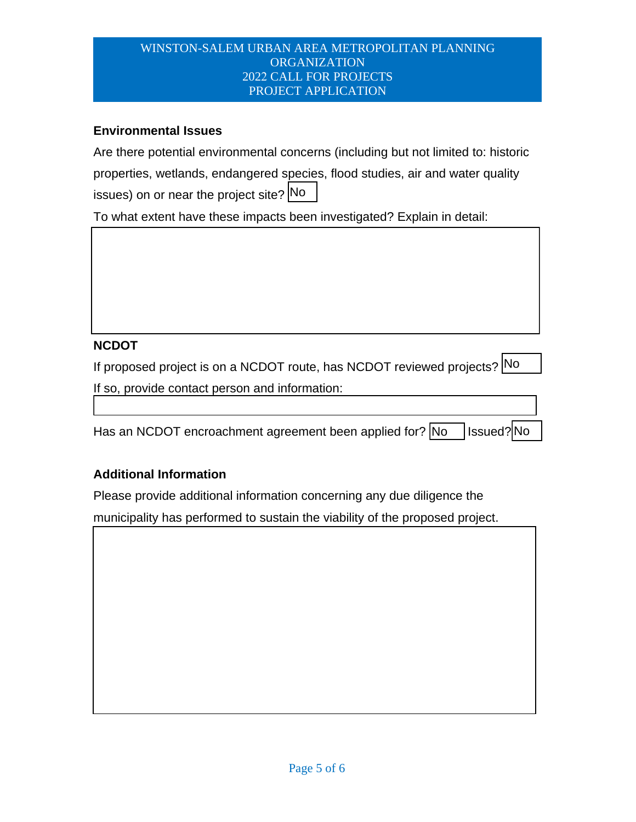#### WINSTON-SALEM URBAN AREA METROPOLITAN PLANNING ORGANIZATION 2022 CALL FOR PROJECTS PROJECT APPLICATION

## **Environmental Issues**

Are there potential environmental concerns (including but not limited to: historic properties, wetlands, endangered species, flood studies, air and water quality issues) on or near the project site? No

To what extent have these impacts been investigated? Explain in detail:

# **NCDOT**

If proposed project is on a NCDOT route, has NCDOT reviewed projects? No If so, provide contact person and information:

| Has an NCDOT encroachment agreement been applied for? $\boxed{\text{No}}$ Issued? No |  |  |
|--------------------------------------------------------------------------------------|--|--|
|                                                                                      |  |  |

# **Additional Information**

Please provide additional information concerning any due diligence the municipality has performed to sustain the viability of the proposed project.